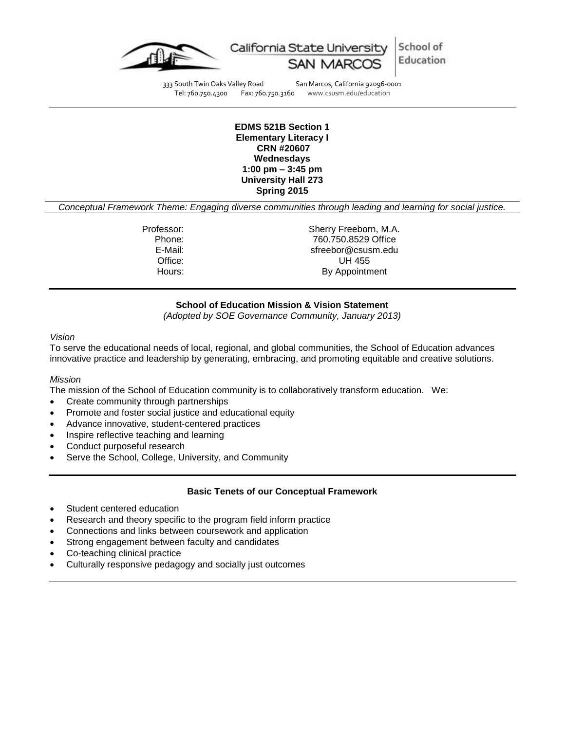



333 South Twin Oaks Valley Road San Marcos, California 92096-0001<br>Tel: 760.750.4300 Fax: 760.750.3160 www.csusm.edu/education

www.csusm.edu/education

#### **EDMS 521B Section 1 Elementary Literacy I CRN #20607 Wednesdays 1:00 pm – 3:45 pm University Hall 273 Spring 2015**

*Conceptual Framework Theme: Engaging diverse communities through leading and learning for social justice.*

Professor: Sherry Freeborn, M.A. Phone: 760.750.8529 Office E-Mail: sfreebor@csusm.edu Office: UH 455 Hours: By Appointment

## **School of Education Mission & Vision Statement**

*(Adopted by SOE Governance Community, January 2013)*

#### *Vision*

To serve the educational needs of local, regional, and global communities, the School of Education advances innovative practice and leadership by generating, embracing, and promoting equitable and creative solutions.

#### *Mission*

The mission of the School of Education community is to collaboratively transform education. We:

- Create community through partnerships
- Promote and foster social justice and educational equity
- Advance innovative, student-centered practices
- Inspire reflective teaching and learning
- Conduct purposeful research
- Serve the School, College, University, and Community

#### **Basic Tenets of our Conceptual Framework**

- Student centered education
- Research and theory specific to the program field inform practice
- Connections and links between coursework and application
- Strong engagement between faculty and candidates
- Co-teaching clinical practice
- Culturally responsive pedagogy and socially just outcomes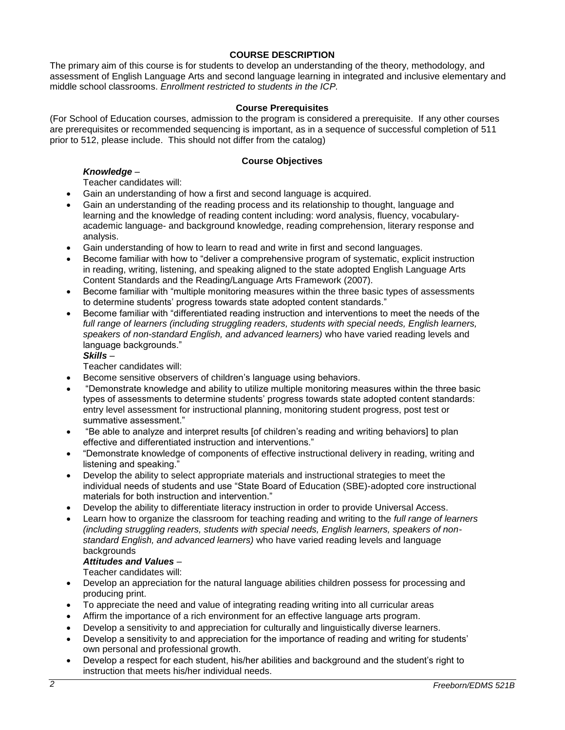# **COURSE DESCRIPTION**

The primary aim of this course is for students to develop an understanding of the theory, methodology, and assessment of English Language Arts and second language learning in integrated and inclusive elementary and middle school classrooms. *Enrollment restricted to students in the ICP.*

## **Course Prerequisites**

(For School of Education courses, admission to the program is considered a prerequisite. If any other courses are prerequisites or recommended sequencing is important, as in a sequence of successful completion of 511 prior to 512, please include. This should not differ from the catalog)

## **Course Objectives**

# *Knowledge* –

Teacher candidates will:

- Gain an understanding of how a first and second language is acquired.
- Gain an understanding of the reading process and its relationship to thought, language and learning and the knowledge of reading content including: word analysis, fluency, vocabularyacademic language- and background knowledge, reading comprehension, literary response and analysis.
- Gain understanding of how to learn to read and write in first and second languages.
- Become familiar with how to "deliver a comprehensive program of systematic, explicit instruction in reading, writing, listening, and speaking aligned to the state adopted English Language Arts Content Standards and the Reading/Language Arts Framework (2007).
- Become familiar with "multiple monitoring measures within the three basic types of assessments to determine students' progress towards state adopted content standards."
- Become familiar with "differentiated reading instruction and interventions to meet the needs of the *full range of learners (including struggling readers, students with special needs, English learners, speakers of non-standard English, and advanced learners)* who have varied reading levels and language backgrounds."

# *Skills* –

Teacher candidates will:

- Become sensitive observers of children's language using behaviors.
- "Demonstrate knowledge and ability to utilize multiple monitoring measures within the three basic types of assessments to determine students' progress towards state adopted content standards: entry level assessment for instructional planning, monitoring student progress, post test or summative assessment."
- "Be able to analyze and interpret results [of children's reading and writing behaviors] to plan effective and differentiated instruction and interventions."
- "Demonstrate knowledge of components of effective instructional delivery in reading, writing and listening and speaking."
- Develop the ability to select appropriate materials and instructional strategies to meet the individual needs of students and use "State Board of Education (SBE)-adopted core instructional materials for both instruction and intervention."
- Develop the ability to differentiate literacy instruction in order to provide Universal Access.
- Learn how to organize the classroom for teaching reading and writing to the *full range of learners (including struggling readers, students with special needs, English learners, speakers of nonstandard English, and advanced learners)* who have varied reading levels and language backgrounds

## *Attitudes and Values* –

Teacher candidates will:

- Develop an appreciation for the natural language abilities children possess for processing and producing print.
- To appreciate the need and value of integrating reading writing into all curricular areas
- Affirm the importance of a rich environment for an effective language arts program.
- Develop a sensitivity to and appreciation for culturally and linguistically diverse learners.
- Develop a sensitivity to and appreciation for the importance of reading and writing for students' own personal and professional growth.
- Develop a respect for each student, his/her abilities and background and the student's right to instruction that meets his/her individual needs.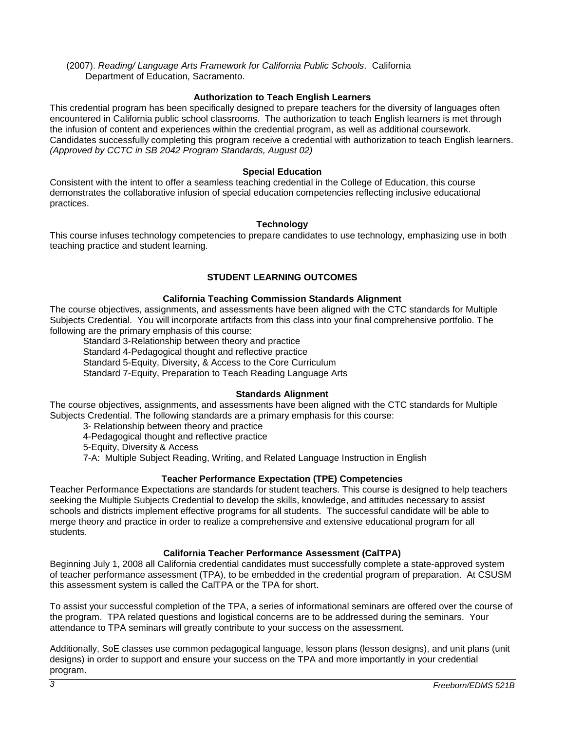(2007). *Reading/ Language Arts Framework for California Public Schools*. California Department of Education, Sacramento.

## **Authorization to Teach English Learners**

This credential program has been specifically designed to prepare teachers for the diversity of languages often encountered in California public school classrooms. The authorization to teach English learners is met through the infusion of content and experiences within the credential program, as well as additional coursework. Candidates successfully completing this program receive a credential with authorization to teach English learners. *(Approved by CCTC in SB 2042 Program Standards, August 02)*

## **Special Education**

Consistent with the intent to offer a seamless teaching credential in the College of Education, this course demonstrates the collaborative infusion of special education competencies reflecting inclusive educational practices.

#### **Technology**

This course infuses technology competencies to prepare candidates to use technology, emphasizing use in both teaching practice and student learning.

# **STUDENT LEARNING OUTCOMES**

## **California Teaching Commission Standards Alignment**

The course objectives, assignments, and assessments have been aligned with the CTC standards for Multiple Subjects Credential. You will incorporate artifacts from this class into your final comprehensive portfolio. The following are the primary emphasis of this course:

Standard 3-Relationship between theory and practice Standard 4-Pedagogical thought and reflective practice Standard 5-Equity, Diversity, & Access to the Core Curriculum Standard 7-Equity, Preparation to Teach Reading Language Arts

#### **Standards Alignment**

The course objectives, assignments, and assessments have been aligned with the CTC standards for Multiple Subjects Credential. The following standards are a primary emphasis for this course:

3- Relationship between theory and practice 4-Pedagogical thought and reflective practice 5-Equity, Diversity & Access 7-A: Multiple Subject Reading, Writing, and Related Language Instruction in English

# **Teacher Performance Expectation (TPE) Competencies**

Teacher Performance Expectations are standards for student teachers. This course is designed to help teachers seeking the Multiple Subjects Credential to develop the skills, knowledge, and attitudes necessary to assist schools and districts implement effective programs for all students. The successful candidate will be able to merge theory and practice in order to realize a comprehensive and extensive educational program for all students.

#### **California Teacher Performance Assessment (CalTPA)**

Beginning July 1, 2008 all California credential candidates must successfully complete a state-approved system of teacher performance assessment (TPA), to be embedded in the credential program of preparation. At CSUSM this assessment system is called the CalTPA or the TPA for short.

To assist your successful completion of the TPA, a series of informational seminars are offered over the course of the program. TPA related questions and logistical concerns are to be addressed during the seminars. Your attendance to TPA seminars will greatly contribute to your success on the assessment.

Additionally, SoE classes use common pedagogical language, lesson plans (lesson designs), and unit plans (unit designs) in order to support and ensure your success on the TPA and more importantly in your credential program.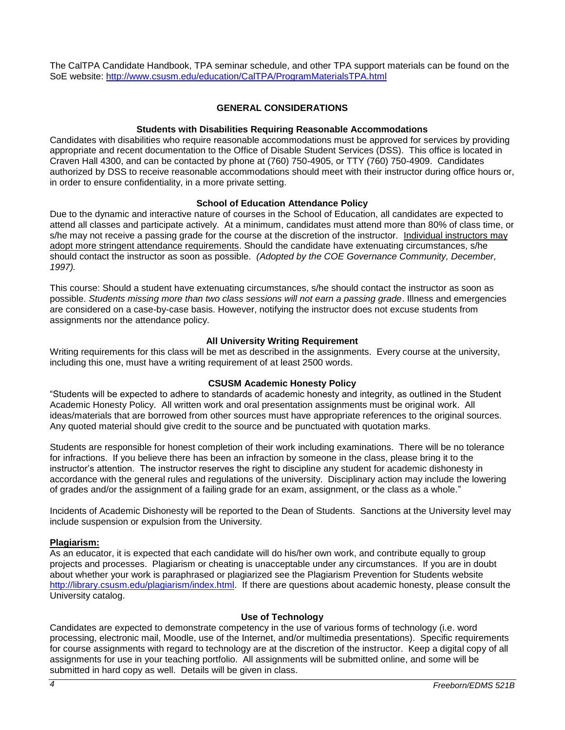The CalTPA Candidate Handbook, TPA seminar schedule, and other TPA support materials can be found on the SoE website: <http://www.csusm.edu/education/CalTPA/ProgramMaterialsTPA.html>

## **GENERAL CONSIDERATIONS**

## **Students with Disabilities Requiring Reasonable Accommodations**

Candidates with disabilities who require reasonable accommodations must be approved for services by providing appropriate and recent documentation to the Office of Disable Student Services (DSS). This office is located in Craven Hall 4300, and can be contacted by phone at (760) 750-4905, or TTY (760) 750-4909. Candidates authorized by DSS to receive reasonable accommodations should meet with their instructor during office hours or, in order to ensure confidentiality, in a more private setting.

## **School of Education Attendance Policy**

Due to the dynamic and interactive nature of courses in the School of Education, all candidates are expected to attend all classes and participate actively. At a minimum, candidates must attend more than 80% of class time, or s/he may not receive a passing grade for the course at the discretion of the instructor. Individual instructors may adopt more stringent attendance requirements. Should the candidate have extenuating circumstances, s/he should contact the instructor as soon as possible. *(Adopted by the COE Governance Community, December, 1997).*

This course: Should a student have extenuating circumstances, s/he should contact the instructor as soon as possible. *Students missing more than two class sessions will not earn a passing grade*. Illness and emergencies are considered on a case-by-case basis. However, notifying the instructor does not excuse students from assignments nor the attendance policy.

## **All University Writing Requirement**

Writing requirements for this class will be met as described in the assignments. Every course at the university, including this one, must have a writing requirement of at least 2500 words.

#### **CSUSM Academic Honesty Policy**

"Students will be expected to adhere to standards of academic honesty and integrity, as outlined in the Student Academic Honesty Policy. All written work and oral presentation assignments must be original work. All ideas/materials that are borrowed from other sources must have appropriate references to the original sources. Any quoted material should give credit to the source and be punctuated with quotation marks.

Students are responsible for honest completion of their work including examinations. There will be no tolerance for infractions. If you believe there has been an infraction by someone in the class, please bring it to the instructor's attention. The instructor reserves the right to discipline any student for academic dishonesty in accordance with the general rules and regulations of the university. Disciplinary action may include the lowering of grades and/or the assignment of a failing grade for an exam, assignment, or the class as a whole."

Incidents of Academic Dishonesty will be reported to the Dean of Students. Sanctions at the University level may include suspension or expulsion from the University.

#### **Plagiarism:**

As an educator, it is expected that each candidate will do his/her own work, and contribute equally to group projects and processes. Plagiarism or cheating is unacceptable under any circumstances. If you are in doubt about whether your work is paraphrased or plagiarized see the Plagiarism Prevention for Students website [http://library.csusm.edu/plagiarism/index.html.](http://library.csusm.edu/plagiarism/index.html) If there are questions about academic honesty, please consult the University catalog.

#### **Use of Technology**

Candidates are expected to demonstrate competency in the use of various forms of technology (i.e. word processing, electronic mail, Moodle, use of the Internet, and/or multimedia presentations). Specific requirements for course assignments with regard to technology are at the discretion of the instructor. Keep a digital copy of all assignments for use in your teaching portfolio. All assignments will be submitted online, and some will be submitted in hard copy as well. Details will be given in class.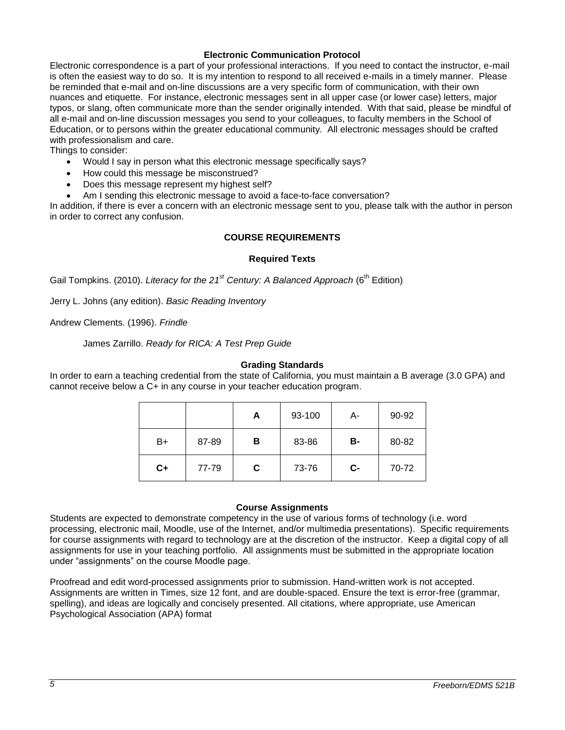## **Electronic Communication Protocol**

Electronic correspondence is a part of your professional interactions. If you need to contact the instructor, e-mail is often the easiest way to do so. It is my intention to respond to all received e-mails in a timely manner. Please be reminded that e-mail and on-line discussions are a very specific form of communication, with their own nuances and etiquette. For instance, electronic messages sent in all upper case (or lower case) letters, major typos, or slang, often communicate more than the sender originally intended. With that said, please be mindful of all e-mail and on-line discussion messages you send to your colleagues, to faculty members in the School of Education, or to persons within the greater educational community. All electronic messages should be crafted with professionalism and care.

Things to consider:

- Would I say in person what this electronic message specifically says?
- How could this message be misconstrued?
- Does this message represent my highest self?
- Am I sending this electronic message to avoid a face-to-face conversation?

In addition, if there is ever a concern with an electronic message sent to you, please talk with the author in person in order to correct any confusion.

## **COURSE REQUIREMENTS**

#### **Required Texts**

Gail Tompkins. (2010). *Literacy for the 21<sup>st</sup> Century: A Balanced Approach* (6<sup>th</sup> Edition)

Jerry L. Johns (any edition). *Basic Reading Inventory*

Andrew Clements. (1996). *Frindle*

James Zarrillo. *Ready for RICA: A Test Prep Guide*

#### **Grading Standards**

In order to earn a teaching credential from the state of California, you must maintain a B average (3.0 GPA) and cannot receive below a C+ in any course in your teacher education program.

|      |       | А | 93-100 | А-   | 90-92 |
|------|-------|---|--------|------|-------|
| B+   | 87-89 | в | 83-86  | в-   | 80-82 |
| $C+$ | 77-79 | С | 73-76  | $c-$ | 70-72 |

#### **Course Assignments**

Students are expected to demonstrate competency in the use of various forms of technology (i.e. word processing, electronic mail, Moodle, use of the Internet, and/or multimedia presentations). Specific requirements for course assignments with regard to technology are at the discretion of the instructor. Keep a digital copy of all assignments for use in your teaching portfolio. All assignments must be submitted in the appropriate location under "assignments" on the course Moodle page.

Proofread and edit word-processed assignments prior to submission. Hand-written work is not accepted. Assignments are written in Times, size 12 font, and are double-spaced. Ensure the text is error-free (grammar, spelling), and ideas are logically and concisely presented. All citations, where appropriate, use American Psychological Association (APA) format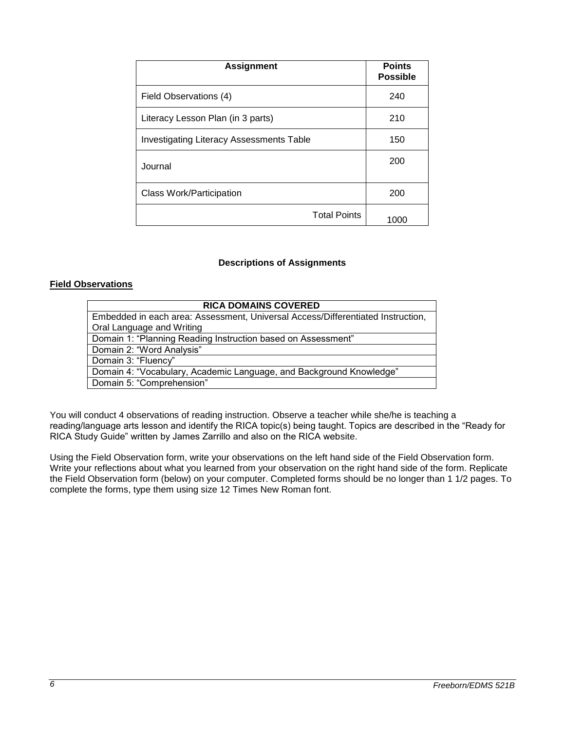| <b>Assignment</b>                               | <b>Points</b><br><b>Possible</b> |
|-------------------------------------------------|----------------------------------|
| Field Observations (4)                          | 240                              |
| Literacy Lesson Plan (in 3 parts)               | 210                              |
| <b>Investigating Literacy Assessments Table</b> | 150                              |
| Journal                                         | 200                              |
| Class Work/Participation                        | 200                              |
| <b>Total Points</b>                             | 1000                             |

#### **Descriptions of Assignments**

# **Field Observations**

You will conduct 4 observations of reading instruction. Observe a teacher while she/he is teaching a reading/language arts lesson and identify the RICA topic(s) being taught. Topics are described in the "Ready for RICA Study Guide" written by James Zarrillo and also on the RICA website.

Using the Field Observation form, write your observations on the left hand side of the Field Observation form. Write your reflections about what you learned from your observation on the right hand side of the form. Replicate the Field Observation form (below) on your computer. Completed forms should be no longer than 1 1/2 pages. To complete the forms, type them using size 12 Times New Roman font.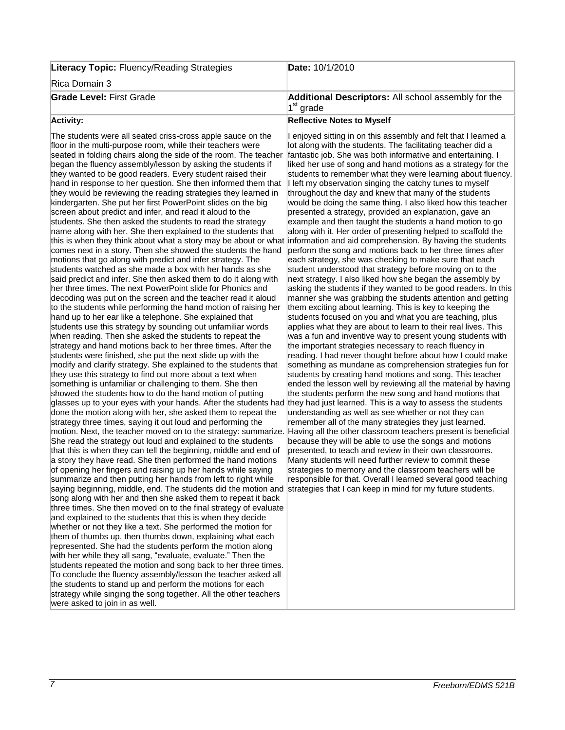| <b>Literacy Topic: Fluency/Reading Strategies</b> | Date: 10/1/2010                                                           |
|---------------------------------------------------|---------------------------------------------------------------------------|
| Rica Domain 3                                     |                                                                           |
| <b>Grade Level: First Grade</b>                   | <b>Additional Descriptors:</b> All school assembly for the<br>$1st$ grade |
| Activity:                                         | <b>Reflective Notes to Myself</b>                                         |

#### **Activity:**

The students were all seated criss-cross apple sauce on the floor in the multi-purpose room, while their teachers were seated in folding chairs along the side of the room. The teacher began the fluency assembly/lesson by asking the students if they wanted to be good readers. Every student raised their hand in response to her question. She then informed them that they would be reviewing the reading strategies they learned in kindergarten. She put her first PowerPoint slides on the big screen about predict and infer, and read it aloud to the students. She then asked the students to read the strategy name along with her. She then explained to the students that this is when they think about what a story may be about or what information and aid comprehension. By having the students comes next in a story. Then she showed the students the hand motions that go along with predict and infer strategy. The students watched as she made a box with her hands as she said predict and infer. She then asked them to do it along with her three times. The next PowerPoint slide for Phonics and decoding was put on the screen and the teacher read it aloud to the students while performing the hand motion of raising her hand up to her ear like a telephone. She explained that students use this strategy by sounding out unfamiliar words when reading. Then she asked the students to repeat the strategy and hand motions back to her three times. After the students were finished, she put the next slide up with the modify and clarify strategy. She explained to the students that they use this strategy to find out more about a text when something is unfamiliar or challenging to them. She then showed the students how to do the hand motion of putting glasses up to your eyes with your hands. After the students had they had just learned. This is a way to assess the students done the motion along with her, she asked them to repeat the strategy three times, saying it out loud and performing the motion. Next, the teacher moved on to the strategy: summarize. Having all the other classroom teachers present is beneficial She read the strategy out loud and explained to the students that this is when they can tell the beginning, middle and end of a story they have read. She then performed the hand motions of opening her fingers and raising up her hands while saying summarize and then putting her hands from left to right while saying beginning, middle, end. The students did the motion and strategies that I can keep in mind for my future students. song along with her and then she asked them to repeat it back three times. She then moved on to the final strategy of evaluate and explained to the students that this is when they decide whether or not they like a text. She performed the motion for them of thumbs up, then thumbs down, explaining what each represented. She had the students perform the motion along with her while they all sang, "evaluate, evaluate." Then the students repeated the motion and song back to her three times. To conclude the fluency assembly/lesson the teacher asked all the students to stand up and perform the motions for each strategy while singing the song together. All the other teachers were asked to join in as well.

I enjoyed sitting in on this assembly and felt that I learned a lot along with the students. The facilitating teacher did a fantastic job. She was both informative and entertaining. I liked her use of song and hand motions as a strategy for the students to remember what they were learning about fluency. I left my observation singing the catchy tunes to myself throughout the day and knew that many of the students would be doing the same thing. I also liked how this teacher presented a strategy, provided an explanation, gave an example and then taught the students a hand motion to go along with it. Her order of presenting helped to scaffold the perform the song and motions back to her three times after each strategy, she was checking to make sure that each student understood that strategy before moving on to the next strategy. I also liked how she began the assembly by asking the students if they wanted to be good readers. In this manner she was grabbing the students attention and getting them exciting about learning. This is key to keeping the students focused on you and what you are teaching, plus applies what they are about to learn to their real lives. This was a fun and inventive way to present young students with the important strategies necessary to reach fluency in reading. I had never thought before about how I could make something as mundane as comprehension strategies fun for students by creating hand motions and song. This teacher ended the lesson well by reviewing all the material by having the students perform the new song and hand motions that understanding as well as see whether or not they can remember all of the many strategies they just learned. because they will be able to use the songs and motions presented, to teach and review in their own classrooms. Many students will need further review to commit these strategies to memory and the classroom teachers will be responsible for that. Overall I learned several good teaching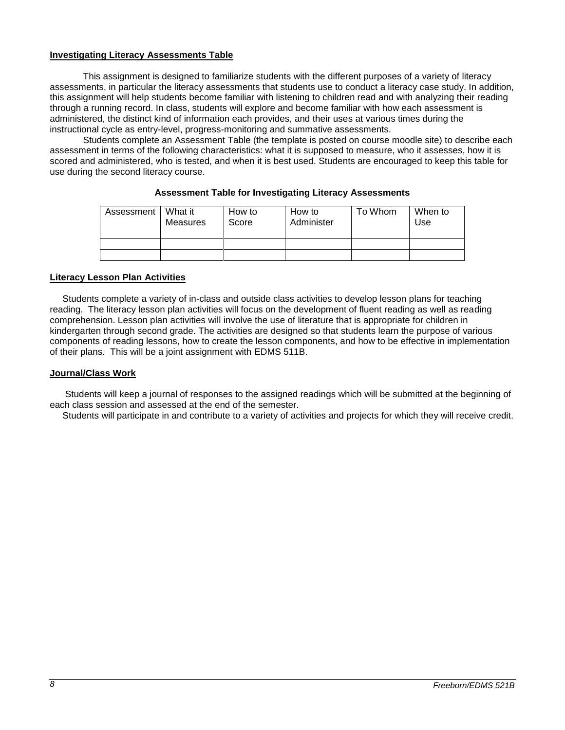## **Investigating Literacy Assessments Table**

This assignment is designed to familiarize students with the different purposes of a variety of literacy assessments, in particular the literacy assessments that students use to conduct a literacy case study. In addition, this assignment will help students become familiar with listening to children read and with analyzing their reading through a running record. In class, students will explore and become familiar with how each assessment is administered, the distinct kind of information each provides, and their uses at various times during the instructional cycle as entry-level, progress-monitoring and summative assessments.

Students complete an Assessment Table (the template is posted on course moodle site) to describe each assessment in terms of the following characteristics: what it is supposed to measure, who it assesses, how it is scored and administered, who is tested, and when it is best used. Students are encouraged to keep this table for use during the second literacy course.

| Assessment | What it<br>Measures | How to<br>Score | How to<br>Administer | To Whom | When to<br>Use |
|------------|---------------------|-----------------|----------------------|---------|----------------|
|            |                     |                 |                      |         |                |
|            |                     |                 |                      |         |                |

## **Assessment Table for Investigating Literacy Assessments**

## **Literacy Lesson Plan Activities**

 Students complete a variety of in-class and outside class activities to develop lesson plans for teaching reading. The literacy lesson plan activities will focus on the development of fluent reading as well as reading comprehension. Lesson plan activities will involve the use of literature that is appropriate for children in kindergarten through second grade. The activities are designed so that students learn the purpose of various components of reading lessons, how to create the lesson components, and how to be effective in implementation of their plans. This will be a joint assignment with EDMS 511B.

# **Journal/Class Work**

 Students will keep a journal of responses to the assigned readings which will be submitted at the beginning of each class session and assessed at the end of the semester.

Students will participate in and contribute to a variety of activities and projects for which they will receive credit.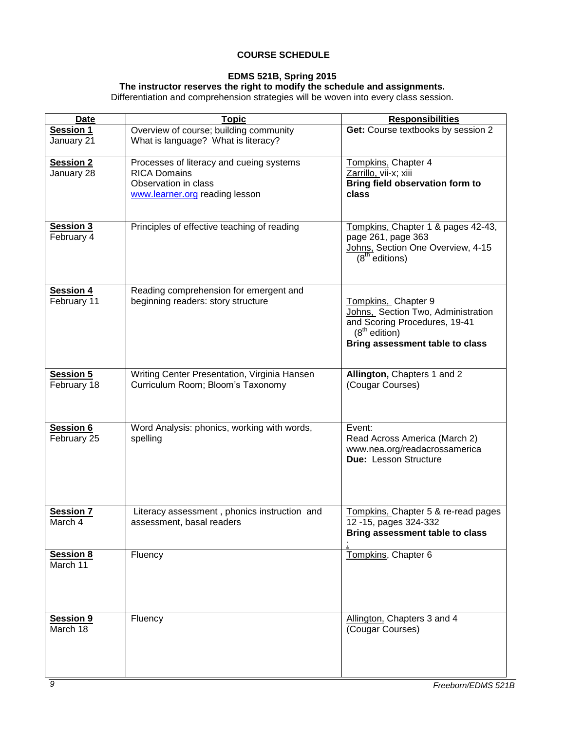# **COURSE SCHEDULE**

# **EDMS 521B, Spring 2015**

#### **The instructor reserves the right to modify the schedule and assignments.**

Differentiation and comprehension strategies will be woven into every class session.

| <b>Date</b>                     | <b>Topic</b>                                                                                                              | <b>Responsibilities</b>                                                                                                                          |
|---------------------------------|---------------------------------------------------------------------------------------------------------------------------|--------------------------------------------------------------------------------------------------------------------------------------------------|
| <b>Session 1</b><br>January 21  | Overview of course; building community<br>What is language? What is literacy?                                             | Get: Course textbooks by session 2                                                                                                               |
| <b>Session 2</b><br>January 28  | Processes of literacy and cueing systems<br><b>RICA Domains</b><br>Observation in class<br>www.learner.org reading lesson | Tompkins, Chapter 4<br>Zarrillo, vii-x; xiii<br>Bring field observation form to<br>class                                                         |
| Session 3<br>February 4         | Principles of effective teaching of reading                                                                               | Tompkins, Chapter 1 & pages 42-43,<br>page 261, page 363<br>Johns, Section One Overview, 4-15<br>$(8th$ editions)                                |
| <b>Session 4</b><br>February 11 | Reading comprehension for emergent and<br>beginning readers: story structure                                              | Tompkins, Chapter 9<br>Johns, Section Two, Administration<br>and Scoring Procedures, 19-41<br>$(8th$ edition)<br>Bring assessment table to class |
| <b>Session 5</b><br>February 18 | Writing Center Presentation, Virginia Hansen<br>Curriculum Room; Bloom's Taxonomy                                         | Allington, Chapters 1 and 2<br>(Cougar Courses)                                                                                                  |
| <b>Session 6</b><br>February 25 | Word Analysis: phonics, working with words,<br>spelling                                                                   | Event:<br>Read Across America (March 2)<br>www.nea.org/readacrossamerica<br>Due: Lesson Structure                                                |
| <b>Session 7</b><br>March 4     | Literacy assessment, phonics instruction and<br>assessment, basal readers                                                 | Tompkins, Chapter 5 & re-read pages<br>12 - 15, pages 324 - 332<br>Bring assessment table to class                                               |
| <b>Session 8</b><br>March 11    | Fluency                                                                                                                   | Tompkins, Chapter 6                                                                                                                              |
| <b>Session 9</b><br>March 18    | Fluency                                                                                                                   | Allington, Chapters 3 and 4<br>(Cougar Courses)                                                                                                  |